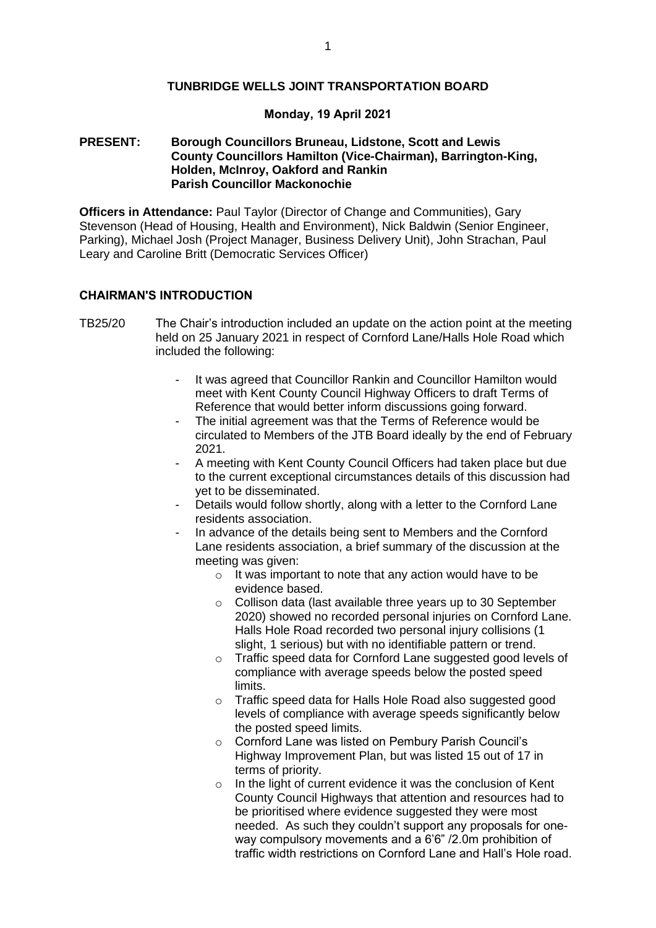#### **TUNBRIDGE WELLS JOINT TRANSPORTATION BOARD**

#### **Monday, 19 April 2021**

## **PRESENT: Borough Councillors Bruneau, Lidstone, Scott and Lewis County Councillors Hamilton (Vice-Chairman), Barrington-King, Holden, McInroy, Oakford and Rankin Parish Councillor Mackonochie**

**Officers in Attendance:** Paul Taylor (Director of Change and Communities), Gary Stevenson (Head of Housing, Health and Environment), Nick Baldwin (Senior Engineer, Parking), Michael Josh (Project Manager, Business Delivery Unit), John Strachan, Paul Leary and Caroline Britt (Democratic Services Officer)

## **CHAIRMAN'S INTRODUCTION**

- TB25/20 The Chair's introduction included an update on the action point at the meeting held on 25 January 2021 in respect of Cornford Lane/Halls Hole Road which included the following:
	- It was agreed that Councillor Rankin and Councillor Hamilton would meet with Kent County Council Highway Officers to draft Terms of Reference that would better inform discussions going forward.
	- The initial agreement was that the Terms of Reference would be circulated to Members of the JTB Board ideally by the end of February 2021.
	- A meeting with Kent County Council Officers had taken place but due to the current exceptional circumstances details of this discussion had yet to be disseminated.
	- Details would follow shortly, along with a letter to the Cornford Lane residents association.
	- In advance of the details being sent to Members and the Cornford Lane residents association, a brief summary of the discussion at the meeting was given:
		- $\circ$  It was important to note that any action would have to be evidence based.
		- o Collison data (last available three years up to 30 September 2020) showed no recorded personal injuries on Cornford Lane. Halls Hole Road recorded two personal injury collisions (1 slight, 1 serious) but with no identifiable pattern or trend.
		- o Traffic speed data for Cornford Lane suggested good levels of compliance with average speeds below the posted speed limits.
		- o Traffic speed data for Halls Hole Road also suggested good levels of compliance with average speeds significantly below the posted speed limits.
		- o Cornford Lane was listed on Pembury Parish Council's Highway Improvement Plan, but was listed 15 out of 17 in terms of priority.
		- o In the light of current evidence it was the conclusion of Kent County Council Highways that attention and resources had to be prioritised where evidence suggested they were most needed. As such they couldn't support any proposals for oneway compulsory movements and a 6'6" /2.0m prohibition of traffic width restrictions on Cornford Lane and Hall's Hole road.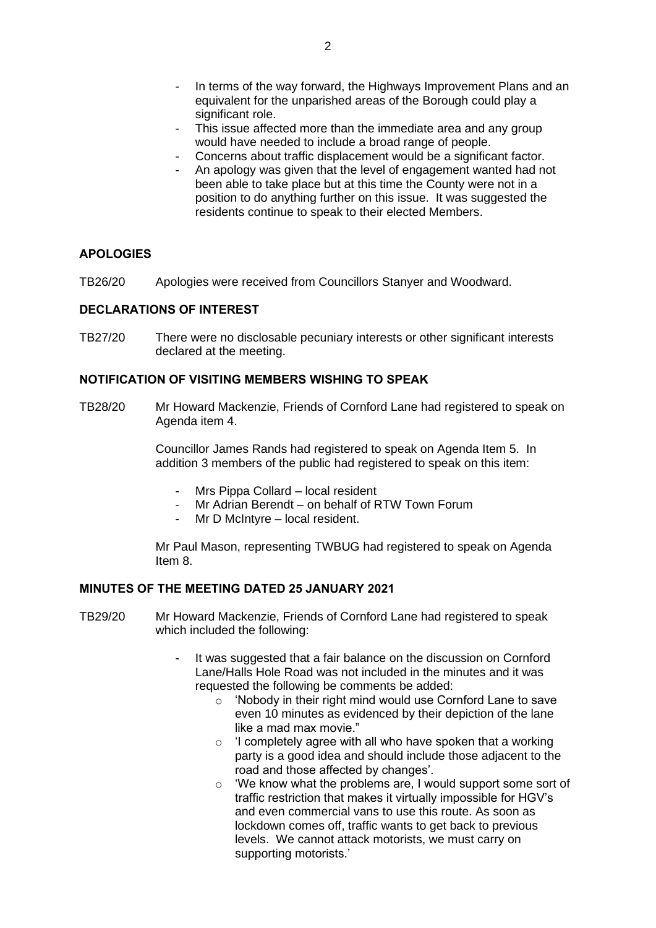- In terms of the way forward, the Highways Improvement Plans and an equivalent for the unparished areas of the Borough could play a significant role.
- This issue affected more than the immediate area and any group would have needed to include a broad range of people.
- Concerns about traffic displacement would be a significant factor.
- An apology was given that the level of engagement wanted had not been able to take place but at this time the County were not in a position to do anything further on this issue. It was suggested the residents continue to speak to their elected Members.

## **APOLOGIES**

TB26/20 Apologies were received from Councillors Stanyer and Woodward.

## **DECLARATIONS OF INTEREST**

TB27/20 There were no disclosable pecuniary interests or other significant interests declared at the meeting.

#### **NOTIFICATION OF VISITING MEMBERS WISHING TO SPEAK**

TB28/20 Mr Howard Mackenzie, Friends of Cornford Lane had registered to speak on Agenda item 4.

> Councillor James Rands had registered to speak on Agenda Item 5. In addition 3 members of the public had registered to speak on this item:

- Mrs Pippa Collard local resident
- Mr Adrian Berendt on behalf of RTW Town Forum
- Mr D McIntyre local resident.

Mr Paul Mason, representing TWBUG had registered to speak on Agenda Item 8.

## **MINUTES OF THE MEETING DATED 25 JANUARY 2021**

- TB29/20 Mr Howard Mackenzie, Friends of Cornford Lane had registered to speak which included the following:
	- It was suggested that a fair balance on the discussion on Cornford Lane/Halls Hole Road was not included in the minutes and it was requested the following be comments be added:
		- o 'Nobody in their right mind would use Cornford Lane to save even 10 minutes as evidenced by their depiction of the lane like a mad max movie."
		- $\circ$  'I completely agree with all who have spoken that a working party is a good idea and should include those adjacent to the road and those affected by changes'.
		- o 'We know what the problems are, I would support some sort of traffic restriction that makes it virtually impossible for HGV's and even commercial vans to use this route. As soon as lockdown comes off, traffic wants to get back to previous levels. We cannot attack motorists, we must carry on supporting motorists.'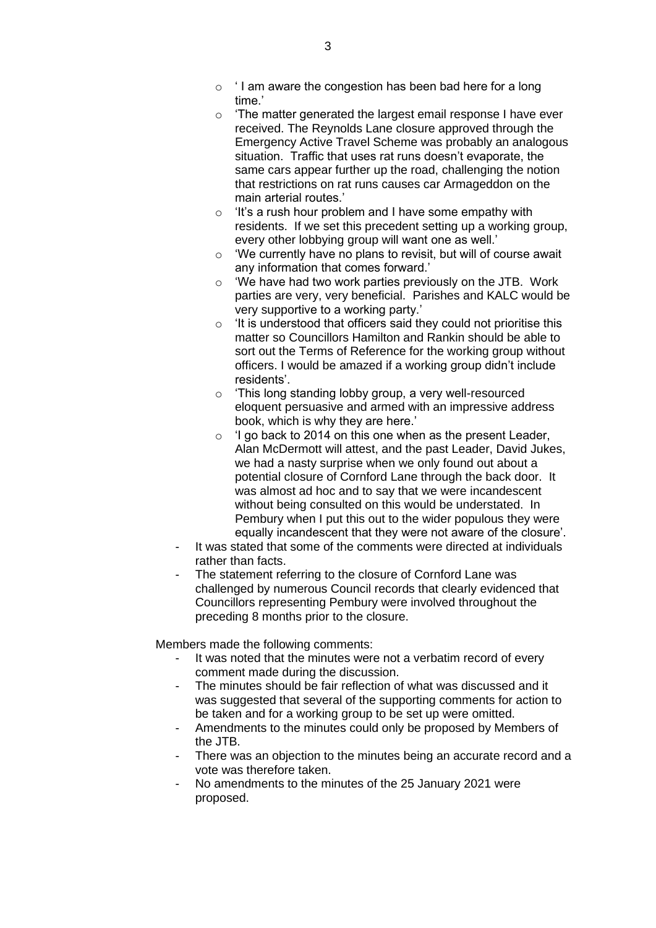- $\circ$  ' I am aware the congestion has been bad here for a long time.'
- o 'The matter generated the largest email response I have ever received. The Reynolds Lane closure approved through the Emergency Active Travel Scheme was probably an analogous situation. Traffic that uses rat runs doesn't evaporate, the same cars appear further up the road, challenging the notion that restrictions on rat runs causes car Armageddon on the main arterial routes.'
- $\circ$  'It's a rush hour problem and I have some empathy with residents. If we set this precedent setting up a working group, every other lobbying group will want one as well.'
- o 'We currently have no plans to revisit, but will of course await any information that comes forward.'
- o 'We have had two work parties previously on the JTB. Work parties are very, very beneficial. Parishes and KALC would be very supportive to a working party.'
- o 'It is understood that officers said they could not prioritise this matter so Councillors Hamilton and Rankin should be able to sort out the Terms of Reference for the working group without officers. I would be amazed if a working group didn't include residents'.
- o 'This long standing lobby group, a very well-resourced eloquent persuasive and armed with an impressive address book, which is why they are here.'
- $\circ$  'I go back to 2014 on this one when as the present Leader, Alan McDermott will attest, and the past Leader, David Jukes, we had a nasty surprise when we only found out about a potential closure of Cornford Lane through the back door. It was almost ad hoc and to say that we were incandescent without being consulted on this would be understated. In Pembury when I put this out to the wider populous they were equally incandescent that they were not aware of the closure'.
- It was stated that some of the comments were directed at individuals rather than facts.
- The statement referring to the closure of Cornford Lane was challenged by numerous Council records that clearly evidenced that Councillors representing Pembury were involved throughout the preceding 8 months prior to the closure.

Members made the following comments:

- It was noted that the minutes were not a verbatim record of every comment made during the discussion.
- The minutes should be fair reflection of what was discussed and it was suggested that several of the supporting comments for action to be taken and for a working group to be set up were omitted.
- Amendments to the minutes could only be proposed by Members of the JTB.
- There was an objection to the minutes being an accurate record and a vote was therefore taken.
- No amendments to the minutes of the 25 January 2021 were proposed.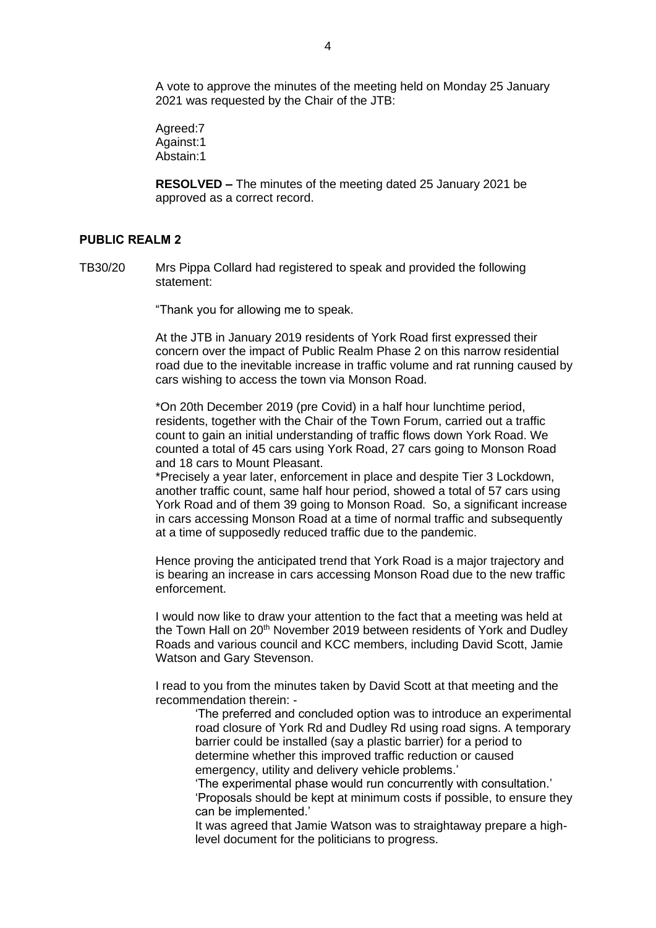A vote to approve the minutes of the meeting held on Monday 25 January 2021 was requested by the Chair of the JTB:

Agreed:7 Against:1 Abstain:1

**RESOLVED –** The minutes of the meeting dated 25 January 2021 be approved as a correct record.

## **PUBLIC REALM 2**

TB30/20 Mrs Pippa Collard had registered to speak and provided the following statement:

"Thank you for allowing me to speak.

At the JTB in January 2019 residents of York Road first expressed their concern over the impact of Public Realm Phase 2 on this narrow residential road due to the inevitable increase in traffic volume and rat running caused by cars wishing to access the town via Monson Road.

\*On 20th December 2019 (pre Covid) in a half hour lunchtime period, residents, together with the Chair of the Town Forum, carried out a traffic count to gain an initial understanding of traffic flows down York Road. We counted a total of 45 cars using York Road, 27 cars going to Monson Road and 18 cars to Mount Pleasant.

\*Precisely a year later, enforcement in place and despite Tier 3 Lockdown, another traffic count, same half hour period, showed a total of 57 cars using York Road and of them 39 going to Monson Road. So, a significant increase in cars accessing Monson Road at a time of normal traffic and subsequently at a time of supposedly reduced traffic due to the pandemic.

Hence proving the anticipated trend that York Road is a major trajectory and is bearing an increase in cars accessing Monson Road due to the new traffic enforcement.

I would now like to draw your attention to the fact that a meeting was held at the Town Hall on 20<sup>th</sup> November 2019 between residents of York and Dudley Roads and various council and KCC members, including David Scott, Jamie Watson and Gary Stevenson.

I read to you from the minutes taken by David Scott at that meeting and the recommendation therein: -

'The preferred and concluded option was to introduce an experimental road closure of York Rd and Dudley Rd using road signs. A temporary barrier could be installed (say a plastic barrier) for a period to determine whether this improved traffic reduction or caused emergency, utility and delivery vehicle problems.'

'The experimental phase would run concurrently with consultation.' 'Proposals should be kept at minimum costs if possible, to ensure they can be implemented.'

It was agreed that Jamie Watson was to straightaway prepare a highlevel document for the politicians to progress.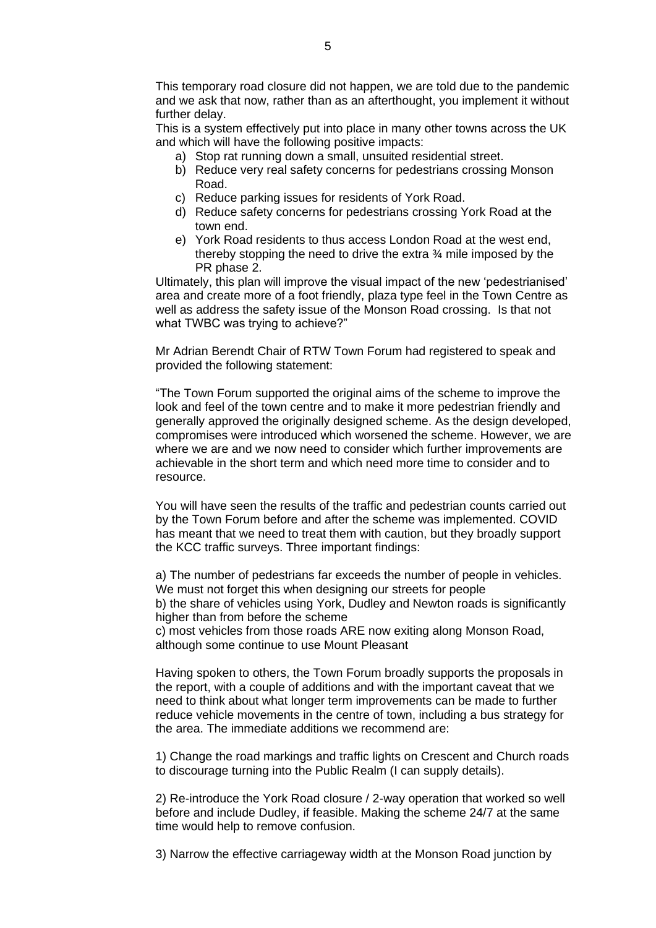This temporary road closure did not happen, we are told due to the pandemic and we ask that now, rather than as an afterthought, you implement it without further delay.

This is a system effectively put into place in many other towns across the UK and which will have the following positive impacts:

- a) Stop rat running down a small, unsuited residential street.
- b) Reduce very real safety concerns for pedestrians crossing Monson Road.
- c) Reduce parking issues for residents of York Road.
- d) Reduce safety concerns for pedestrians crossing York Road at the town end.
- e) York Road residents to thus access London Road at the west end, thereby stopping the need to drive the extra ¾ mile imposed by the PR phase 2.

Ultimately, this plan will improve the visual impact of the new 'pedestrianised' area and create more of a foot friendly, plaza type feel in the Town Centre as well as address the safety issue of the Monson Road crossing. Is that not what TWBC was trying to achieve?"

Mr Adrian Berendt Chair of RTW Town Forum had registered to speak and provided the following statement:

"The Town Forum supported the original aims of the scheme to improve the look and feel of the town centre and to make it more pedestrian friendly and generally approved the originally designed scheme. As the design developed, compromises were introduced which worsened the scheme. However, we are where we are and we now need to consider which further improvements are achievable in the short term and which need more time to consider and to resource.

You will have seen the results of the traffic and pedestrian counts carried out by the Town Forum before and after the scheme was implemented. COVID has meant that we need to treat them with caution, but they broadly support the KCC traffic surveys. Three important findings:

a) The number of pedestrians far exceeds the number of people in vehicles. We must not forget this when designing our streets for people b) the share of vehicles using York, Dudley and Newton roads is significantly higher than from before the scheme

c) most vehicles from those roads ARE now exiting along Monson Road, although some continue to use Mount Pleasant

Having spoken to others, the Town Forum broadly supports the proposals in the report, with a couple of additions and with the important caveat that we need to think about what longer term improvements can be made to further reduce vehicle movements in the centre of town, including a bus strategy for the area. The immediate additions we recommend are:

1) Change the road markings and traffic lights on Crescent and Church roads to discourage turning into the Public Realm (I can supply details).

2) Re-introduce the York Road closure / 2-way operation that worked so well before and include Dudley, if feasible. Making the scheme 24/7 at the same time would help to remove confusion.

3) Narrow the effective carriageway width at the Monson Road junction by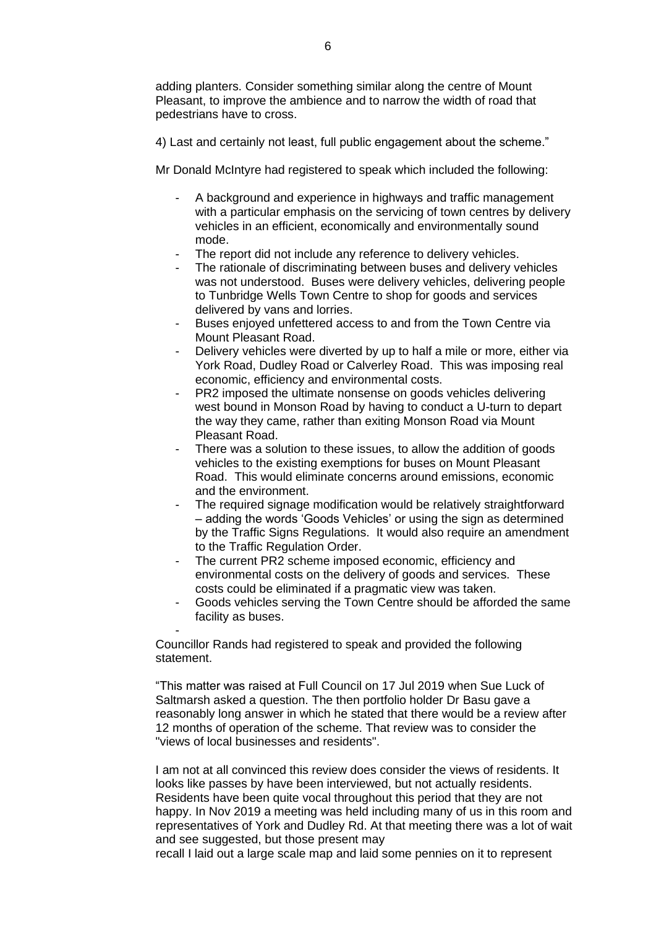adding planters. Consider something similar along the centre of Mount Pleasant, to improve the ambience and to narrow the width of road that pedestrians have to cross.

4) Last and certainly not least, full public engagement about the scheme."

Mr Donald McIntyre had registered to speak which included the following:

- A background and experience in highways and traffic management with a particular emphasis on the servicing of town centres by delivery vehicles in an efficient, economically and environmentally sound mode.
- The report did not include any reference to delivery vehicles.
- The rationale of discriminating between buses and delivery vehicles was not understood. Buses were delivery vehicles, delivering people to Tunbridge Wells Town Centre to shop for goods and services delivered by vans and lorries.
- Buses enjoyed unfettered access to and from the Town Centre via Mount Pleasant Road.
- Delivery vehicles were diverted by up to half a mile or more, either via York Road, Dudley Road or Calverley Road. This was imposing real economic, efficiency and environmental costs.
- PR2 imposed the ultimate nonsense on goods vehicles delivering west bound in Monson Road by having to conduct a U-turn to depart the way they came, rather than exiting Monson Road via Mount Pleasant Road.
- There was a solution to these issues, to allow the addition of goods vehicles to the existing exemptions for buses on Mount Pleasant Road. This would eliminate concerns around emissions, economic and the environment.
- The required signage modification would be relatively straightforward – adding the words 'Goods Vehicles' or using the sign as determined by the Traffic Signs Regulations. It would also require an amendment to the Traffic Regulation Order.
- The current PR2 scheme imposed economic, efficiency and environmental costs on the delivery of goods and services. These costs could be eliminated if a pragmatic view was taken.
- Goods vehicles serving the Town Centre should be afforded the same facility as buses.

Councillor Rands had registered to speak and provided the following statement.

-

"This matter was raised at Full Council on 17 Jul 2019 when Sue Luck of Saltmarsh asked a question. The then portfolio holder Dr Basu gave a reasonably long answer in which he stated that there would be a review after 12 months of operation of the scheme. That review was to consider the "views of local businesses and residents".

I am not at all convinced this review does consider the views of residents. It looks like passes by have been interviewed, but not actually residents. Residents have been quite vocal throughout this period that they are not happy. In Nov 2019 a meeting was held including many of us in this room and representatives of York and Dudley Rd. At that meeting there was a lot of wait and see suggested, but those present may

recall I laid out a large scale map and laid some pennies on it to represent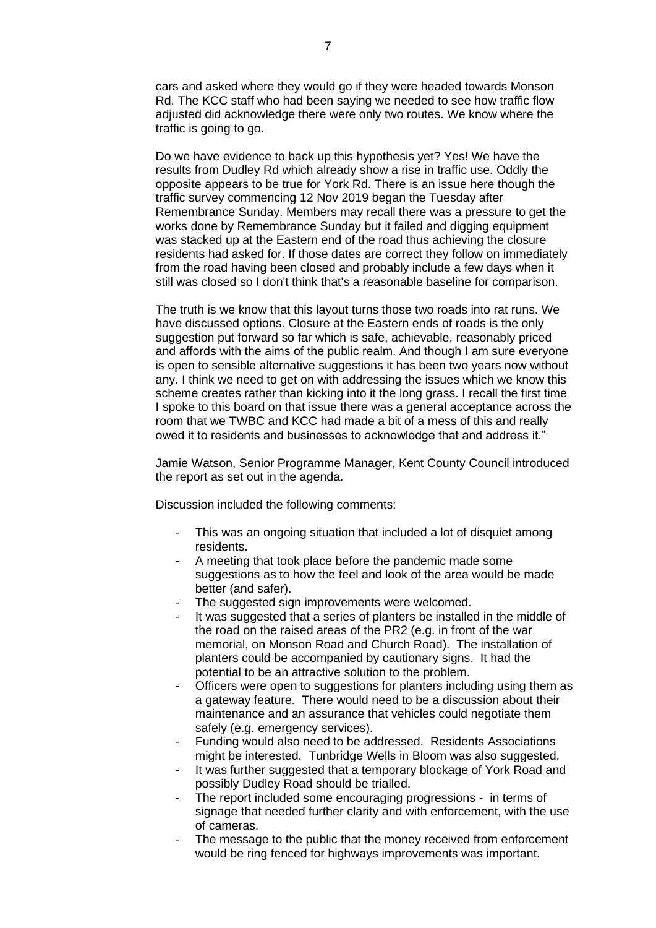cars and asked where they would go if they were headed towards Monson Rd. The KCC staff who had been saying we needed to see how traffic flow adjusted did acknowledge there were only two routes. We know where the traffic is going to go.

Do we have evidence to back up this hypothesis yet? Yes! We have the results from Dudley Rd which already show a rise in traffic use. Oddly the opposite appears to be true for York Rd. There is an issue here though the traffic survey commencing 12 Nov 2019 began the Tuesday after Remembrance Sunday. Members may recall there was a pressure to get the works done by Remembrance Sunday but it failed and digging equipment was stacked up at the Eastern end of the road thus achieving the closure residents had asked for. If those dates are correct they follow on immediately from the road having been closed and probably include a few days when it still was closed so I don't think that's a reasonable baseline for comparison.

The truth is we know that this layout turns those two roads into rat runs. We have discussed options. Closure at the Eastern ends of roads is the only suggestion put forward so far which is safe, achievable, reasonably priced and affords with the aims of the public realm. And though I am sure everyone is open to sensible alternative suggestions it has been two years now without any. I think we need to get on with addressing the issues which we know this scheme creates rather than kicking into it the long grass. I recall the first time I spoke to this board on that issue there was a general acceptance across the room that we TWBC and KCC had made a bit of a mess of this and really owed it to residents and businesses to acknowledge that and address it."

Jamie Watson, Senior Programme Manager, Kent County Council introduced the report as set out in the agenda.

Discussion included the following comments:

- This was an ongoing situation that included a lot of disquiet among residents.
- A meeting that took place before the pandemic made some suggestions as to how the feel and look of the area would be made better (and safer).
- The suggested sign improvements were welcomed.
- It was suggested that a series of planters be installed in the middle of the road on the raised areas of the PR2 (e.g. in front of the war memorial, on Monson Road and Church Road). The installation of planters could be accompanied by cautionary signs. It had the potential to be an attractive solution to the problem.
- Officers were open to suggestions for planters including using them as a gateway feature. There would need to be a discussion about their maintenance and an assurance that vehicles could negotiate them safely (e.g. emergency services).
- Funding would also need to be addressed. Residents Associations might be interested. Tunbridge Wells in Bloom was also suggested.
- It was further suggested that a temporary blockage of York Road and possibly Dudley Road should be trialled.
- The report included some encouraging progressions in terms of signage that needed further clarity and with enforcement, with the use of cameras.
- The message to the public that the money received from enforcement would be ring fenced for highways improvements was important.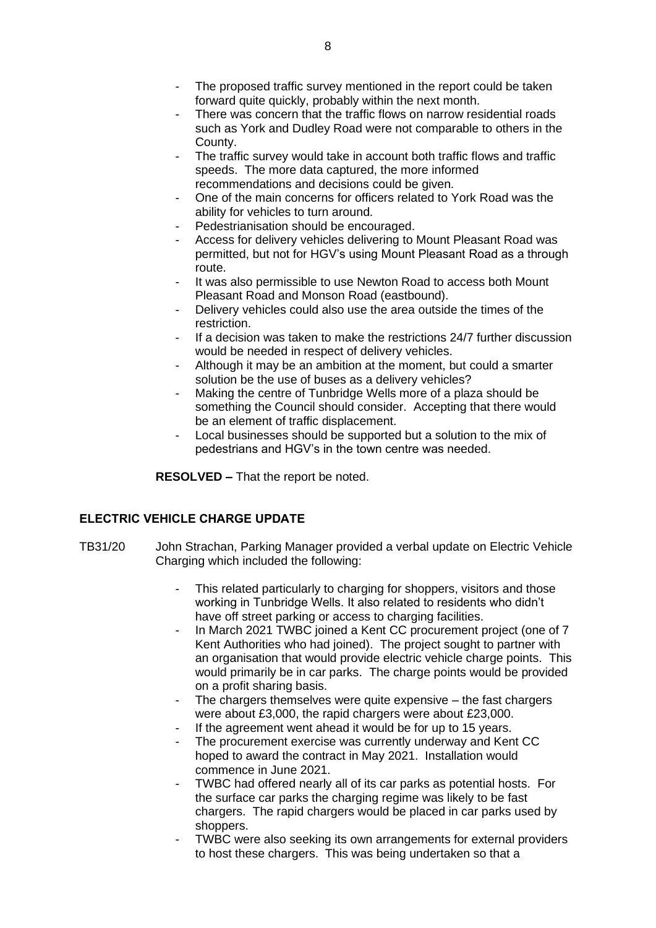- The proposed traffic survey mentioned in the report could be taken forward quite quickly, probably within the next month.
- There was concern that the traffic flows on narrow residential roads such as York and Dudley Road were not comparable to others in the County.
- The traffic survey would take in account both traffic flows and traffic speeds. The more data captured, the more informed recommendations and decisions could be given.
- One of the main concerns for officers related to York Road was the ability for vehicles to turn around.
- Pedestrianisation should be encouraged.
- Access for delivery vehicles delivering to Mount Pleasant Road was permitted, but not for HGV's using Mount Pleasant Road as a through route.
- It was also permissible to use Newton Road to access both Mount Pleasant Road and Monson Road (eastbound).
- Delivery vehicles could also use the area outside the times of the restriction.
- If a decision was taken to make the restrictions 24/7 further discussion would be needed in respect of delivery vehicles.
- Although it may be an ambition at the moment, but could a smarter solution be the use of buses as a delivery vehicles?
- Making the centre of Tunbridge Wells more of a plaza should be something the Council should consider. Accepting that there would be an element of traffic displacement.
- Local businesses should be supported but a solution to the mix of pedestrians and HGV's in the town centre was needed.

**RESOLVED –** That the report be noted.

# **ELECTRIC VEHICLE CHARGE UPDATE**

- TB31/20 John Strachan, Parking Manager provided a verbal update on Electric Vehicle Charging which included the following:
	- This related particularly to charging for shoppers, visitors and those working in Tunbridge Wells. It also related to residents who didn't have off street parking or access to charging facilities.
	- In March 2021 TWBC joined a Kent CC procurement project (one of 7 Kent Authorities who had joined). The project sought to partner with an organisation that would provide electric vehicle charge points. This would primarily be in car parks. The charge points would be provided on a profit sharing basis.
	- The chargers themselves were quite expensive  $-$  the fast chargers were about £3,000, the rapid chargers were about £23,000.
	- If the agreement went ahead it would be for up to 15 years.
	- The procurement exercise was currently underway and Kent CC hoped to award the contract in May 2021. Installation would commence in June 2021.
	- TWBC had offered nearly all of its car parks as potential hosts. For the surface car parks the charging regime was likely to be fast chargers. The rapid chargers would be placed in car parks used by shoppers.
	- TWBC were also seeking its own arrangements for external providers to host these chargers. This was being undertaken so that a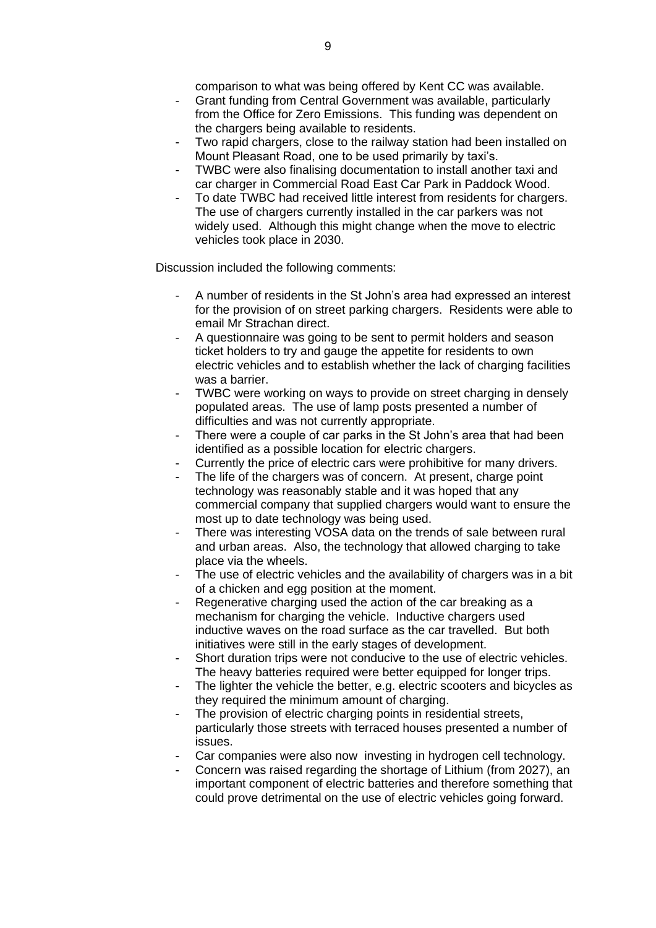comparison to what was being offered by Kent CC was available.

- Grant funding from Central Government was available, particularly from the Office for Zero Emissions. This funding was dependent on the chargers being available to residents.
- Two rapid chargers, close to the railway station had been installed on Mount Pleasant Road, one to be used primarily by taxi's.
- TWBC were also finalising documentation to install another taxi and car charger in Commercial Road East Car Park in Paddock Wood.
- To date TWBC had received little interest from residents for chargers. The use of chargers currently installed in the car parkers was not widely used. Although this might change when the move to electric vehicles took place in 2030.

Discussion included the following comments:

- A number of residents in the St John's area had expressed an interest for the provision of on street parking chargers. Residents were able to email Mr Strachan direct.
- A questionnaire was going to be sent to permit holders and season ticket holders to try and gauge the appetite for residents to own electric vehicles and to establish whether the lack of charging facilities was a barrier.
- TWBC were working on ways to provide on street charging in densely populated areas. The use of lamp posts presented a number of difficulties and was not currently appropriate.
- There were a couple of car parks in the St John's area that had been identified as a possible location for electric chargers.
- Currently the price of electric cars were prohibitive for many drivers.
- The life of the chargers was of concern. At present, charge point technology was reasonably stable and it was hoped that any commercial company that supplied chargers would want to ensure the most up to date technology was being used.
- There was interesting VOSA data on the trends of sale between rural and urban areas. Also, the technology that allowed charging to take place via the wheels.
- The use of electric vehicles and the availability of chargers was in a bit of a chicken and egg position at the moment.
- Regenerative charging used the action of the car breaking as a mechanism for charging the vehicle. Inductive chargers used inductive waves on the road surface as the car travelled. But both initiatives were still in the early stages of development.
- Short duration trips were not conducive to the use of electric vehicles. The heavy batteries required were better equipped for longer trips.
- The lighter the vehicle the better, e.g. electric scooters and bicycles as they required the minimum amount of charging.
- The provision of electric charging points in residential streets, particularly those streets with terraced houses presented a number of issues.
- Car companies were also now investing in hydrogen cell technology.
- Concern was raised regarding the shortage of Lithium (from 2027), an important component of electric batteries and therefore something that could prove detrimental on the use of electric vehicles going forward.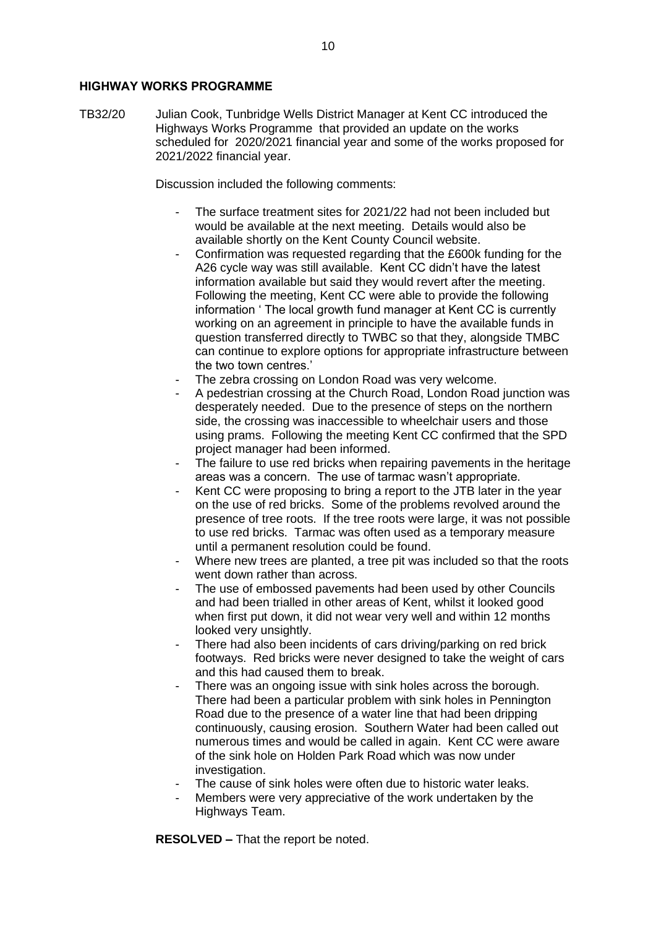#### **HIGHWAY WORKS PROGRAMME**

TB32/20 Julian Cook, Tunbridge Wells District Manager at Kent CC introduced the Highways Works Programme that provided an update on the works scheduled for 2020/2021 financial year and some of the works proposed for 2021/2022 financial year.

Discussion included the following comments:

- The surface treatment sites for 2021/22 had not been included but would be available at the next meeting. Details would also be available shortly on the Kent County Council website.
- Confirmation was requested regarding that the £600k funding for the A26 cycle way was still available. Kent CC didn't have the latest information available but said they would revert after the meeting. Following the meeting, Kent CC were able to provide the following information ' The local growth fund manager at Kent CC is currently working on an agreement in principle to have the available funds in question transferred directly to TWBC so that they, alongside TMBC can continue to explore options for appropriate infrastructure between the two town centres.'
- The zebra crossing on London Road was very welcome.
- A pedestrian crossing at the Church Road, London Road junction was desperately needed. Due to the presence of steps on the northern side, the crossing was inaccessible to wheelchair users and those using prams. Following the meeting Kent CC confirmed that the SPD project manager had been informed.
- The failure to use red bricks when repairing pavements in the heritage areas was a concern. The use of tarmac wasn't appropriate.
- Kent CC were proposing to bring a report to the JTB later in the year on the use of red bricks. Some of the problems revolved around the presence of tree roots. If the tree roots were large, it was not possible to use red bricks. Tarmac was often used as a temporary measure until a permanent resolution could be found.
- Where new trees are planted, a tree pit was included so that the roots went down rather than across.
- The use of embossed pavements had been used by other Councils and had been trialled in other areas of Kent, whilst it looked good when first put down, it did not wear very well and within 12 months looked very unsightly.
- There had also been incidents of cars driving/parking on red brick footways. Red bricks were never designed to take the weight of cars and this had caused them to break.
- There was an ongoing issue with sink holes across the borough. There had been a particular problem with sink holes in Pennington Road due to the presence of a water line that had been dripping continuously, causing erosion. Southern Water had been called out numerous times and would be called in again. Kent CC were aware of the sink hole on Holden Park Road which was now under investigation.
- The cause of sink holes were often due to historic water leaks.
- Members were very appreciative of the work undertaken by the Highways Team.

**RESOLVED –** That the report be noted.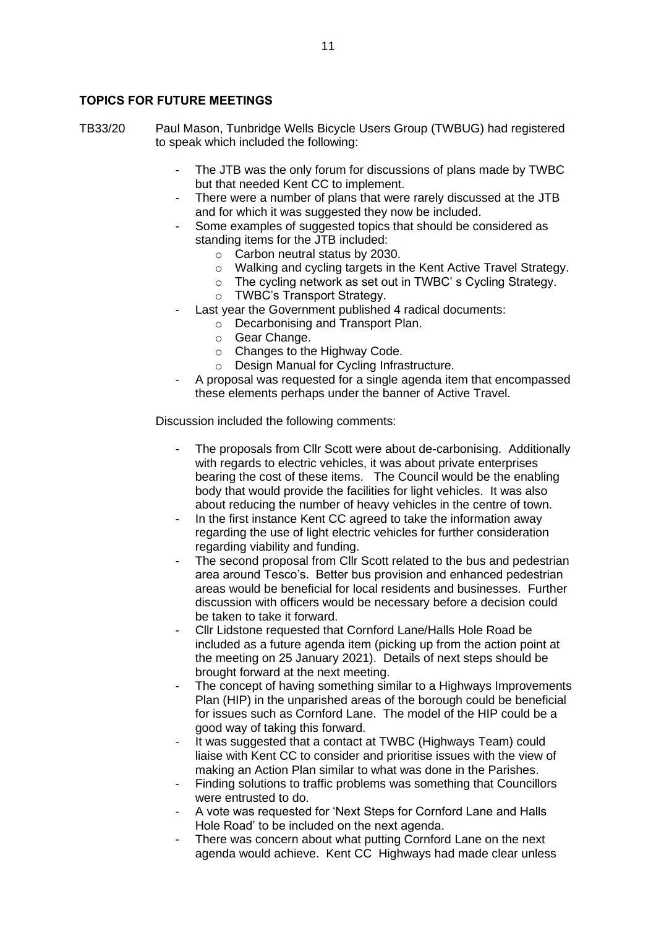# **TOPICS FOR FUTURE MEETINGS**

TB33/20 Paul Mason, Tunbridge Wells Bicycle Users Group (TWBUG) had registered to speak which included the following:

- The JTB was the only forum for discussions of plans made by TWBC but that needed Kent CC to implement.
- There were a number of plans that were rarely discussed at the JTB and for which it was suggested they now be included.
- Some examples of suggested topics that should be considered as standing items for the JTB included:
	- o Carbon neutral status by 2030.
	- o Walking and cycling targets in the Kent Active Travel Strategy.
	- o The cycling network as set out in TWBC' s Cycling Strategy.
	- o TWBC's Transport Strategy.
- Last year the Government published 4 radical documents:
	- o Decarbonising and Transport Plan.
	- o Gear Change.
	- o Changes to the Highway Code.
	- o Design Manual for Cycling Infrastructure.
- A proposal was requested for a single agenda item that encompassed these elements perhaps under the banner of Active Travel.

Discussion included the following comments:

- The proposals from Cllr Scott were about de-carbonising. Additionally with regards to electric vehicles, it was about private enterprises bearing the cost of these items. The Council would be the enabling body that would provide the facilities for light vehicles. It was also about reducing the number of heavy vehicles in the centre of town.
- In the first instance Kent CC agreed to take the information away regarding the use of light electric vehicles for further consideration regarding viability and funding.
- The second proposal from Cllr Scott related to the bus and pedestrian area around Tesco's. Better bus provision and enhanced pedestrian areas would be beneficial for local residents and businesses. Further discussion with officers would be necessary before a decision could be taken to take it forward.
- Cllr Lidstone requested that Cornford Lane/Halls Hole Road be included as a future agenda item (picking up from the action point at the meeting on 25 January 2021). Details of next steps should be brought forward at the next meeting.
- The concept of having something similar to a Highways Improvements Plan (HIP) in the unparished areas of the borough could be beneficial for issues such as Cornford Lane. The model of the HIP could be a good way of taking this forward.
- It was suggested that a contact at TWBC (Highways Team) could liaise with Kent CC to consider and prioritise issues with the view of making an Action Plan similar to what was done in the Parishes.
- Finding solutions to traffic problems was something that Councillors were entrusted to do.
- A vote was requested for 'Next Steps for Cornford Lane and Halls Hole Road' to be included on the next agenda.
- There was concern about what putting Cornford Lane on the next agenda would achieve. Kent CC Highways had made clear unless